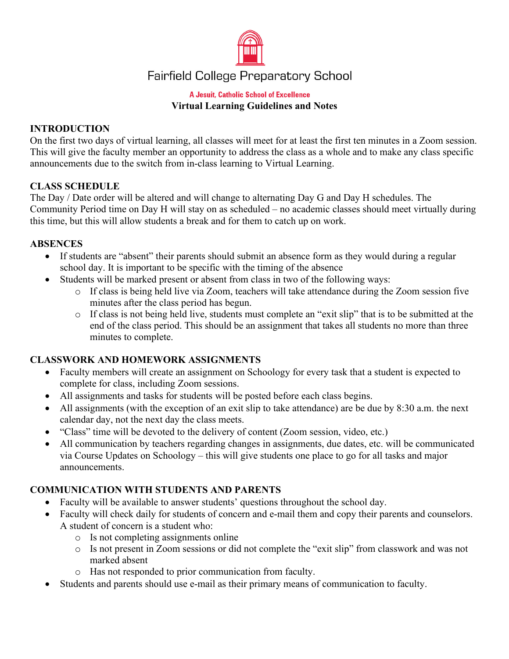

# **Fairfield College Preparatory School**

#### **A Jesuit, Catholic School of Excellence Virtual Learning Guidelines and Notes**

#### **INTRODUCTION**

On the first two days of virtual learning, all classes will meet for at least the first ten minutes in a Zoom session. This will give the faculty member an opportunity to address the class as a whole and to make any class specific announcements due to the switch from in-class learning to Virtual Learning.

#### **CLASS SCHEDULE**

The Day / Date order will be altered and will change to alternating Day G and Day H schedules. The Community Period time on Day H will stay on as scheduled – no academic classes should meet virtually during this time, but this will allow students a break and for them to catch up on work.

#### **ABSENCES**

- If students are "absent" their parents should submit an absence form as they would during a regular school day. It is important to be specific with the timing of the absence
- Students will be marked present or absent from class in two of the following ways:
	- o If class is being held live via Zoom, teachers will take attendance during the Zoom session five minutes after the class period has begun.
	- o If class is not being held live, students must complete an "exit slip" that is to be submitted at the end of the class period. This should be an assignment that takes all students no more than three minutes to complete.

## **CLASSWORK AND HOMEWORK ASSIGNMENTS**

- Faculty members will create an assignment on Schoology for every task that a student is expected to complete for class, including Zoom sessions.
- All assignments and tasks for students will be posted before each class begins.
- All assignments (with the exception of an exit slip to take attendance) are be due by 8:30 a.m. the next calendar day, not the next day the class meets.
- "Class" time will be devoted to the delivery of content (Zoom session, video, etc.)
- All communication by teachers regarding changes in assignments, due dates, etc. will be communicated via Course Updates on Schoology – this will give students one place to go for all tasks and major announcements.

## **COMMUNICATION WITH STUDENTS AND PARENTS**

- Faculty will be available to answer students' questions throughout the school day.
- Faculty will check daily for students of concern and e-mail them and copy their parents and counselors. A student of concern is a student who:
	- o Is not completing assignments online
	- o Is not present in Zoom sessions or did not complete the "exit slip" from classwork and was not marked absent
	- o Has not responded to prior communication from faculty.
- Students and parents should use e-mail as their primary means of communication to faculty.